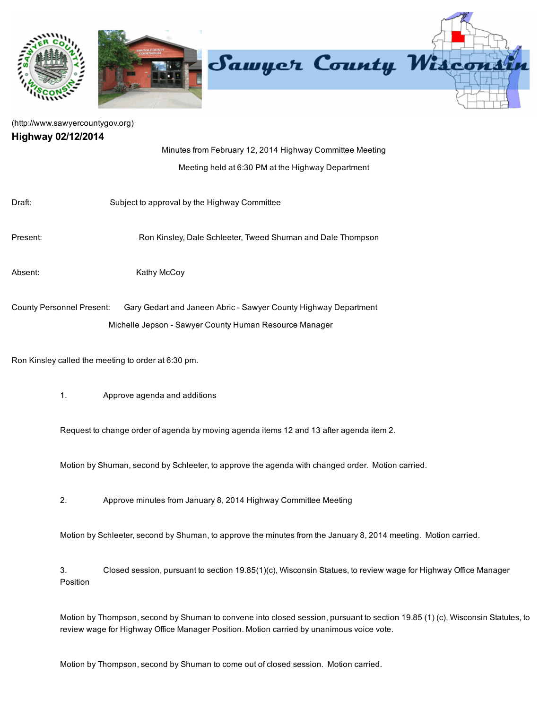

## [\(http://www.sawyercountygov.org\)](http://www.sawyercountygov.org/) Highway 02/12/2014

Position

|                                                     | Minutes from February 12, 2014 Highway Committee Meeting                                                        |
|-----------------------------------------------------|-----------------------------------------------------------------------------------------------------------------|
|                                                     | Meeting held at 6:30 PM at the Highway Department                                                               |
|                                                     |                                                                                                                 |
| Draft:                                              | Subject to approval by the Highway Committee                                                                    |
|                                                     |                                                                                                                 |
| Present:                                            | Ron Kinsley, Dale Schleeter, Tweed Shuman and Dale Thompson                                                     |
|                                                     |                                                                                                                 |
| Absent:                                             | Kathy McCoy                                                                                                     |
|                                                     |                                                                                                                 |
| <b>County Personnel Present:</b>                    | Gary Gedart and Janeen Abric - Sawyer County Highway Department                                                 |
|                                                     | Michelle Jepson - Sawyer County Human Resource Manager                                                          |
|                                                     |                                                                                                                 |
| Ron Kinsley called the meeting to order at 6:30 pm. |                                                                                                                 |
|                                                     |                                                                                                                 |
|                                                     |                                                                                                                 |
| 1.                                                  | Approve agenda and additions                                                                                    |
|                                                     |                                                                                                                 |
|                                                     | Request to change order of agenda by moving agenda items 12 and 13 after agenda item 2.                         |
|                                                     |                                                                                                                 |
|                                                     | Motion by Shuman, second by Schleeter, to approve the agenda with changed order. Motion carried.                |
|                                                     |                                                                                                                 |
| 2.                                                  | Approve minutes from January 8, 2014 Highway Committee Meeting                                                  |
|                                                     |                                                                                                                 |
|                                                     | Motion by Schleeter, second by Shuman, to approve the minutes from the January 8, 2014 meeting. Motion carried. |
|                                                     |                                                                                                                 |
| 3.                                                  | Closed session, pursuant to section 19.85(1)(c), Wisconsin Statues, to review wage for Highway Office Manager   |

Motion by Thompson, second by Shuman to convene into closed session, pursuant to section 19.85 (1) (c), Wisconsin Statutes, to review wage for Highway Office Manager Position. Motion carried by unanimous voice vote.

Motion by Thompson, second by Shuman to come out of closed session. Motion carried.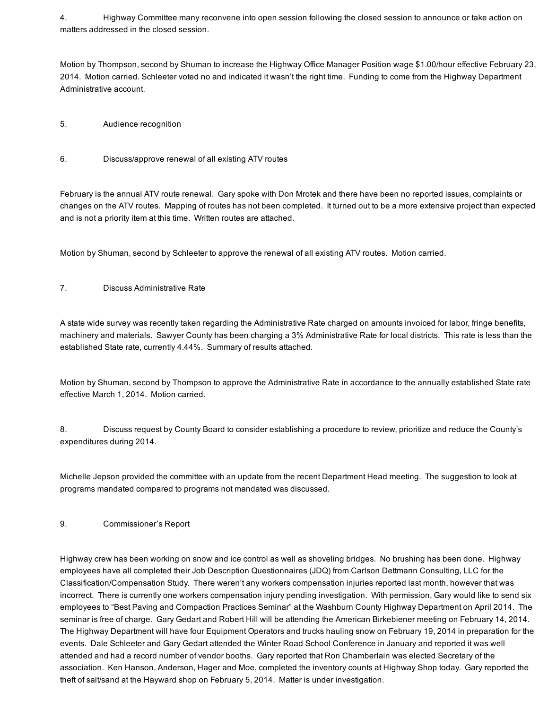4. Highway Committee many reconvene into open session following the closed session to announce or take action on matters addressed in the closed session.

Motion by Thompson, second by Shuman to increase the Highway Office Manager Position wage \$1.00/hour effective February 23, 2014. Motion carried. Schleeter voted no and indicated it wasn't the right time. Funding to come from the Highway Department Administrative account.

- 5. Audience recognition
- 6. Discuss/approve renewal of all existing ATV routes

February is the annual ATV route renewal. Gary spoke with Don Mrotek and there have been no reported issues, complaints or changes on the ATV routes. Mapping of routes has not been completed. It turned out to be a more extensive project than expected and is not a priority item at this time. Written routes are attached.

Motion by Shuman, second by Schleeter to approve the renewal of all existing ATV routes. Motion carried.

7. Discuss Administrative Rate

A state wide survey was recently taken regarding the Administrative Rate charged on amounts invoiced for labor, fringe benefits, machinery and materials. Sawyer County has been charging a 3% Administrative Rate for local districts. This rate is less than the established State rate, currently 4.44%. Summary of results attached.

Motion by Shuman, second by Thompson to approve the Administrative Rate in accordance to the annually established State rate effective March 1, 2014. Motion carried.

8. Discuss request by County Board to consider establishing a procedure to review, prioritize and reduce the County's expenditures during 2014.

Michelle Jepson provided the committee with an update from the recent Department Head meeting. The suggestion to look at programs mandated compared to programs not mandated was discussed.

## 9. Commissioner's Report

Highway crew has been working on snow and ice control as well as shoveling bridges. No brushing has been done. Highway employees have all completed their Job Description Questionnaires (JDQ) from Carlson Dettmann Consulting, LLC for the Classification/Compensation Study. There weren't any workers compensation injuries reported last month, however that was incorrect. There is currently one workers compensation injury pending investigation. With permission, Gary would like to send six employees to "Best Paving and Compaction Practices Seminar" at the Washburn County Highway Department on April 2014. The seminar is free of charge. Gary Gedart and Robert Hill will be attending the American Birkebiener meeting on February 14, 2014. The Highway Department will have four Equipment Operators and trucks hauling snow on February 19, 2014 in preparation for the events. Dale Schleeter and Gary Gedart attended the Winter Road School Conference in January and reported it was well attended and had a record number of vendor booths. Gary reported that Ron Chamberlain was elected Secretary of the association. Ken Hanson, Anderson, Hager and Moe, completed the inventory counts at Highway Shop today. Gary reported the theft of salt/sand at the Hayward shop on February 5, 2014. Matter is under investigation.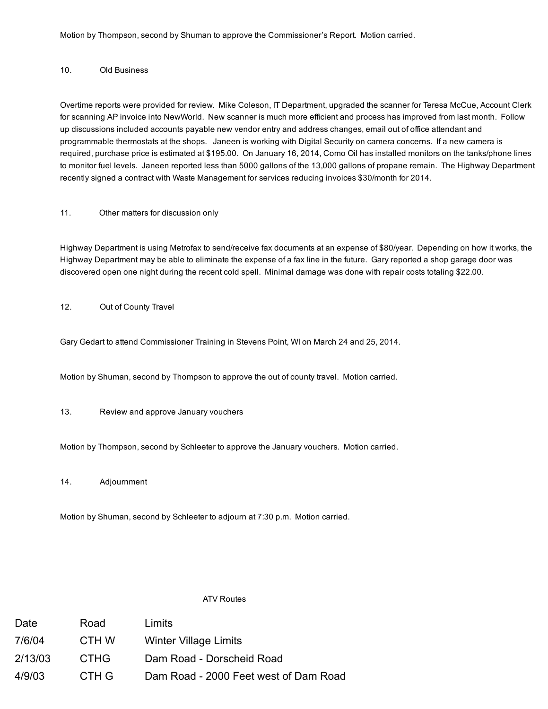Motion by Thompson, second by Shuman to approve the Commissioner's Report. Motion carried.

#### 10. Old Business

Overtime reports were provided for review. Mike Coleson, IT Department, upgraded the scanner for Teresa McCue, Account Clerk for scanning AP invoice into NewWorld. New scanner is much more efficient and process has improved from last month. Follow up discussions included accounts payable new vendor entry and address changes, email out of office attendant and programmable thermostats at the shops. Janeen is working with Digital Security on camera concerns. If a new camera is required, purchase price is estimated at \$195.00. On January 16, 2014, Como Oil has installed monitors on the tanks/phone lines to monitor fuel levels. Janeen reported less than 5000 gallons of the 13,000 gallons of propane remain. The Highway Department recently signed a contract with Waste Management for services reducing invoices \$30/month for 2014.

## 11. Other matters for discussion only

Highway Department is using Metrofax to send/receive fax documents at an expense of \$80/year. Depending on how it works, the Highway Department may be able to eliminate the expense of a fax line in the future. Gary reported a shop garage door was discovered open one night during the recent cold spell. Minimal damage was done with repair costs totaling \$22.00.

12. Out of County Travel

Gary Gedart to attend Commissioner Training in Stevens Point, WI on March 24 and 25, 2014.

Motion by Shuman, second by Thompson to approve the out of county travel. Motion carried.

13. Review and approve January vouchers

Motion by Thompson, second by Schleeter to approve the January vouchers. Motion carried.

14. Adjournment

Motion by Shuman, second by Schleeter to adjourn at 7:30 p.m. Motion carried.

#### ATV Routes

| Date    | Road        | Limits                                |
|---------|-------------|---------------------------------------|
| 7/6/04  | CTH W       | <b>Winter Village Limits</b>          |
| 2/13/03 | <b>CTHG</b> | Dam Road - Dorscheid Road             |
| 4/9/03  | CTH G       | Dam Road - 2000 Feet west of Dam Road |
|         |             |                                       |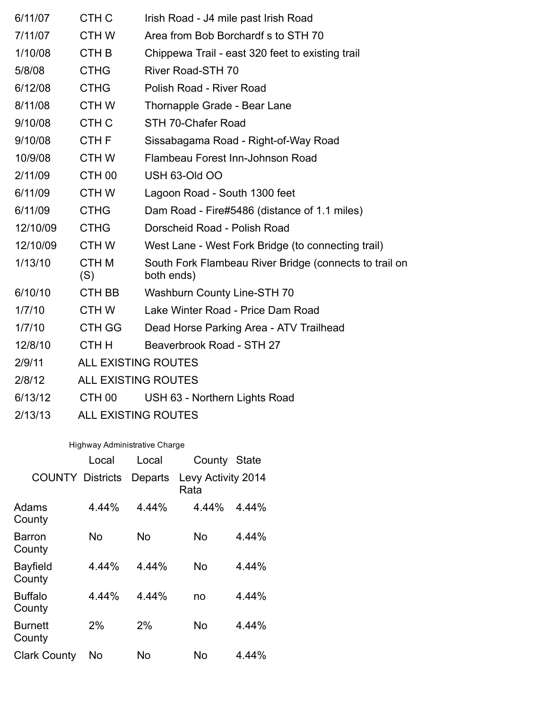| 6/11/07  | CTH <sub>C</sub>           | Irish Road - J4 mile past Irish Road                                 |  |  |
|----------|----------------------------|----------------------------------------------------------------------|--|--|
| 7/11/07  | CTH W                      | Area from Bob Borchardf s to STH 70                                  |  |  |
| 1/10/08  | CTH <sub>B</sub>           | Chippewa Trail - east 320 feet to existing trail                     |  |  |
| 5/8/08   | <b>CTHG</b>                | <b>River Road-STH 70</b>                                             |  |  |
| 6/12/08  | <b>CTHG</b>                | Polish Road - River Road                                             |  |  |
| 8/11/08  | <b>CTHW</b>                | Thornapple Grade - Bear Lane                                         |  |  |
| 9/10/08  | CTH <sub>C</sub>           | STH 70-Chafer Road                                                   |  |  |
| 9/10/08  | CTH <sub>F</sub>           | Sissabagama Road - Right-of-Way Road                                 |  |  |
| 10/9/08  | CTH W                      | Flambeau Forest Inn-Johnson Road                                     |  |  |
| 2/11/09  | CTH <sub>00</sub>          | USH 63-Old OO                                                        |  |  |
| 6/11/09  | <b>CTHW</b>                | Lagoon Road - South 1300 feet                                        |  |  |
| 6/11/09  | <b>CTHG</b>                | Dam Road - Fire#5486 (distance of 1.1 miles)                         |  |  |
| 12/10/09 | <b>CTHG</b>                | Dorscheid Road - Polish Road                                         |  |  |
| 12/10/09 | CTH W                      | West Lane - West Fork Bridge (to connecting trail)                   |  |  |
| 1/13/10  | <b>CTHM</b><br>(S)         | South Fork Flambeau River Bridge (connects to trail on<br>both ends) |  |  |
| 6/10/10  | CTH BB                     | Washburn County Line-STH 70                                          |  |  |
| 1/7/10   | CTH W                      | Lake Winter Road - Price Dam Road                                    |  |  |
| 1/7/10   | CTH GG                     | Dead Horse Parking Area - ATV Trailhead                              |  |  |
| 12/8/10  | CTH H                      | Beaverbrook Road - STH 27                                            |  |  |
| 2/9/11   | <b>ALL EXISTING ROUTES</b> |                                                                      |  |  |
| 2/8/12   | <b>ALL EXISTING ROUTES</b> |                                                                      |  |  |
| 6/13/12  | CTH <sub>00</sub>          | USH 63 - Northern Lights Road                                        |  |  |
|          |                            |                                                                      |  |  |

2/13/13 ALL EXISTING ROUTES

# Highway Administrative Charge

|                           | Local | Local   | County                     | <b>State</b> |
|---------------------------|-------|---------|----------------------------|--------------|
| <b>COUNTY Districts</b>   |       | Departs | Levy Activity 2014<br>Rata |              |
| Adams<br>County           | 4.44% | 4.44%   | 4.44%                      | 4.44%        |
| Barron<br>County          | No    | No      | No                         | 4.44%        |
| <b>Bayfield</b><br>County | 4.44% | 4.44%   | No                         | 4.44%        |
| <b>Buffalo</b><br>County  | 4.44% | 4.44%   | no                         | 4.44%        |
| Burnett<br>County         | 2%    | 2%      | No                         | 4.44%        |
| <b>Clark County</b>       | No    | No      | No                         | 4.44%        |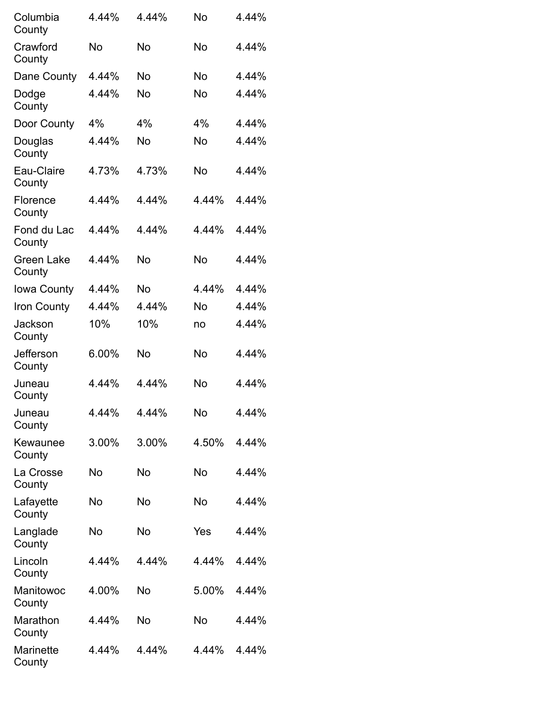| Columbia<br>County          | 4.44% | 4.44%     | No        | 4.44% |
|-----------------------------|-------|-----------|-----------|-------|
| Crawford<br>County          | No    | No        | No        | 4.44% |
| Dane County                 | 4.44% | No        | <b>No</b> | 4.44% |
| Dodge<br>County             | 4.44% | No        | No        | 4.44% |
| Door County                 | 4%    | 4%        | 4%        | 4.44% |
| Douglas<br>County           | 4.44% | No        | No        | 4.44% |
| Eau-Claire<br>County        | 4.73% | 4.73%     | No        | 4.44% |
| Florence<br>County          | 4.44% | 4.44%     | 4.44%     | 4.44% |
| Fond du Lac<br>County       | 4.44% | 4.44%     | 4.44%     | 4.44% |
| <b>Green Lake</b><br>County | 4.44% | <b>No</b> | No        | 4.44% |
| Iowa County                 | 4.44% | No        | 4.44%     | 4.44% |
| Iron County                 | 4.44% | 4.44%     | No        | 4.44% |
| Jackson<br>County           | 10%   | 10%       | no        | 4.44% |
| Jefferson<br>County         | 6.00% | No        | No        | 4.44% |
| Juneau<br>County            | 4.44% | 4.44%     | No        | 4.44% |
| Juneau<br>County            | 4.44% | 4.44%     | No        | 4.44% |
| Kewaunee<br>County          | 3.00% | 3.00%     | 4.50%     | 4.44% |
| La Crosse<br>County         | No    | No        | No        | 4.44% |
| Lafayette<br>County         | No    | No        | No        | 4.44% |
| Langlade<br>County          | No    | No        | Yes       | 4.44% |
| Lincoln<br>County           | 4.44% | 4.44%     | 4.44%     | 4.44% |
| Manitowoc<br>County         | 4.00% | No        | 5.00%     | 4.44% |
| Marathon<br>County          | 4.44% | No        | No        | 4.44% |
| Marinette<br>County         | 4.44% | 4.44%     | 4.44%     | 4.44% |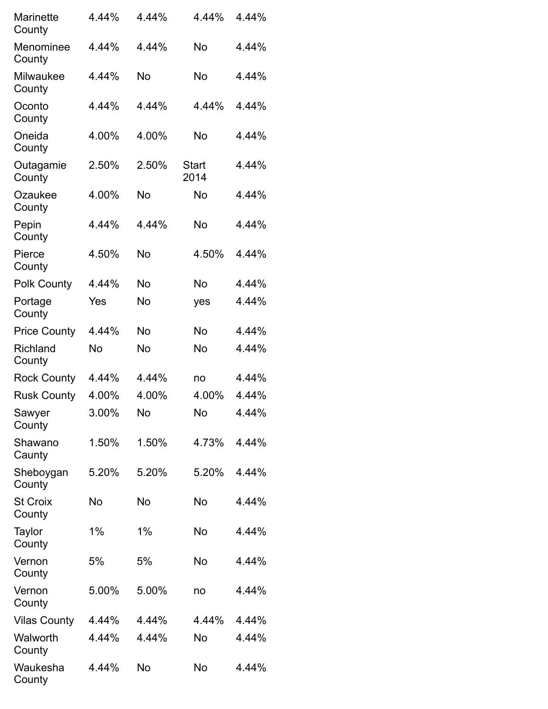| Marinette<br>County       | 4.44%     | 4.44% | 4.44%         | 4.44% |
|---------------------------|-----------|-------|---------------|-------|
| Menominee<br>County       | 4.44%     | 4.44% | No            | 4.44% |
| Milwaukee<br>County       | 4.44%     | No    | <b>No</b>     | 4.44% |
| Oconto<br>County          | 4.44%     | 4.44% | 4.44%         | 4.44% |
| Oneida<br>County          | 4.00%     | 4.00% | No            | 4.44% |
| Outagamie<br>County       | 2.50%     | 2.50% | Start<br>2014 | 4.44% |
| Ozaukee<br>County         | 4.00%     | No    | No            | 4.44% |
| Pepin<br>County           | 4.44%     | 4.44% | No            | 4.44% |
| Pierce<br>County          | 4.50%     | No    | 4.50%         | 4.44% |
| <b>Polk County</b>        | 4.44%     | No    | No            | 4.44% |
| Portage<br>County         | Yes       | No    | yes           | 4.44% |
| <b>Price County</b>       | 4.44%     | No    | No            | 4.44% |
| Richland<br>County        | No        | No    | No            | 4.44% |
| <b>Rock County</b>        | 4.44%     | 4.44% | no            | 4.44% |
| <b>Rusk County</b>        | 4.00%     | 4.00% | 4.00%         | 4.44% |
| Sawyer<br>County          | 3.00%     | No    | No            | 4.44% |
| Shawano<br>Caunty         | 1.50%     | 1.50% | 4.73%         | 4.44% |
| Sheboygan<br>County       | 5.20%     | 5.20% | 5.20%         | 4.44% |
| <b>St Croix</b><br>County | <b>No</b> | No    | No            | 4.44% |
| Taylor<br>County          | 1%        | 1%    | No            | 4.44% |
| Vernon<br>County          | 5%        | 5%    | No            | 4.44% |
| Vernon<br>County          | 5.00%     | 5.00% | no            | 4.44% |
| <b>Vilas County</b>       | 4.44%     | 4.44% | 4.44%         | 4.44% |
| Walworth<br>County        | 4.44%     | 4.44% | No            | 4.44% |
| Waukesha<br>County        | 4.44%     | No    | No            | 4.44% |